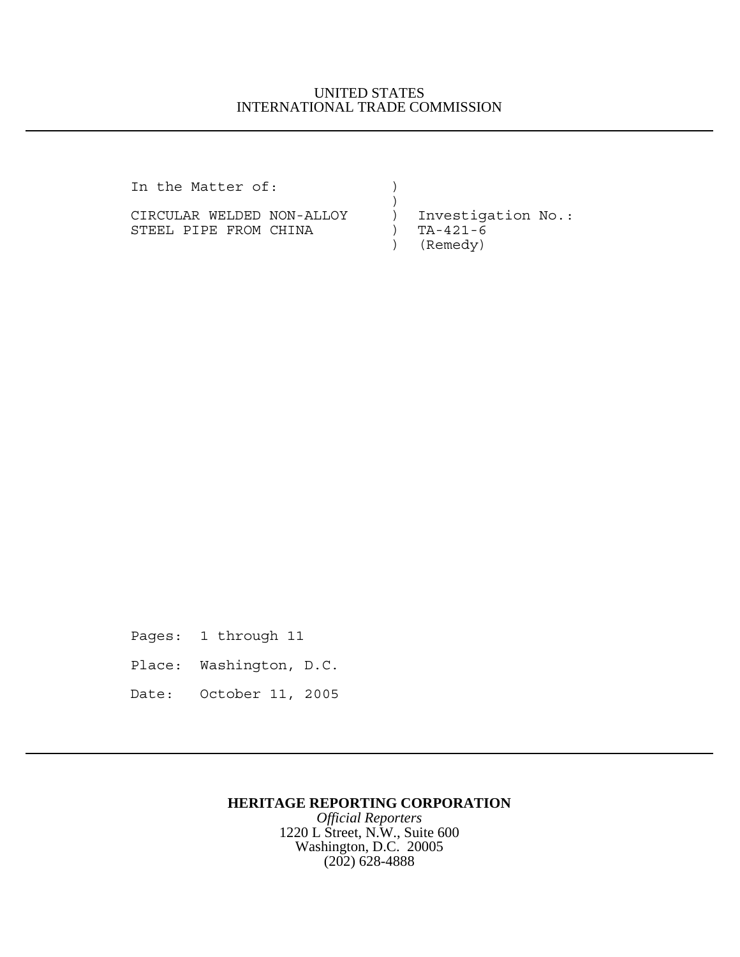## UNITED STATES INTERNATIONAL TRADE COMMISSION

In the Matter of:  $)$ 

CIRCULAR WELDED NON-ALLOY ) Investigation No.: STEEL PIPE FROM CHINA (a) TA-421-6

 $)$ ) (Remedy)

Pages: 1 through 11 Place: Washington, D.C. Date: October 11, 2005

## **HERITAGE REPORTING CORPORATION**

*Official Reporters* 1220 L Street, N.W., Suite 600 Washington, D.C. 20005 (202) 628-4888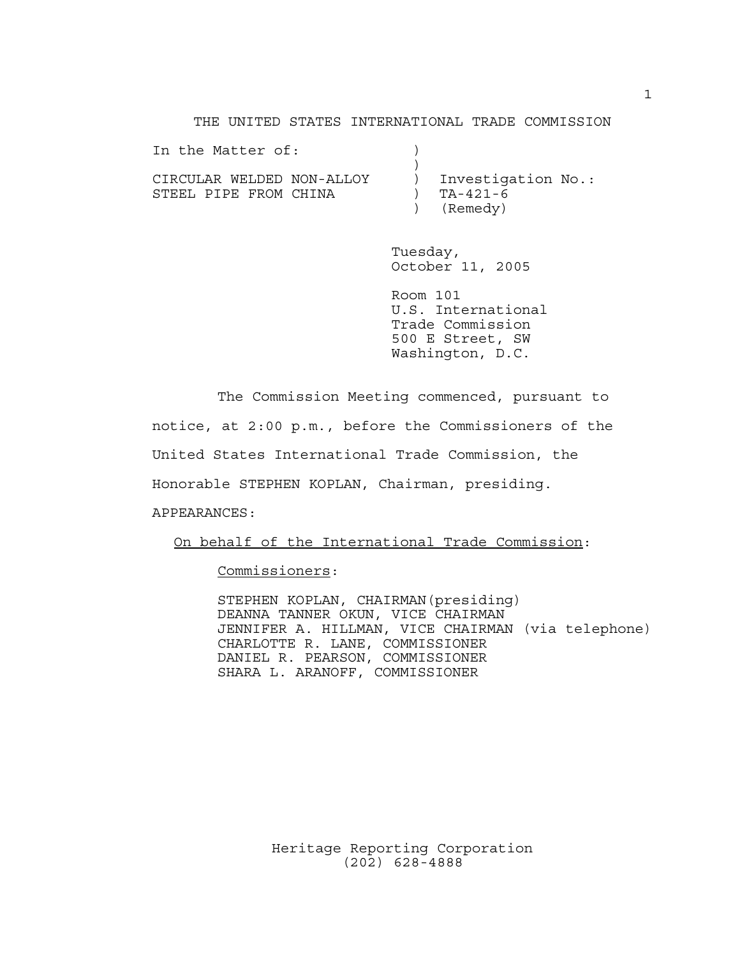THE UNITED STATES INTERNATIONAL TRADE COMMISSION

| In the Matter of:         |                    |
|---------------------------|--------------------|
|                           |                    |
| CIRCULAR WELDED NON-ALLOY | Investigation No.: |
| STEEL PIPE FROM CHINA     | TA-421-6           |
|                           | (Remedy)           |

Tuesday, October 11, 2005

Room 101 U.S. International Trade Commission 500 E Street, SW Washington, D.C.

The Commission Meeting commenced, pursuant to

notice, at 2:00 p.m., before the Commissioners of the

United States International Trade Commission, the

Honorable STEPHEN KOPLAN, Chairman, presiding.

APPEARANCES:

On behalf of the International Trade Commission:

Commissioners:

STEPHEN KOPLAN, CHAIRMAN(presiding) DEANNA TANNER OKUN, VICE CHAIRMAN JENNIFER A. HILLMAN, VICE CHAIRMAN (via telephone) CHARLOTTE R. LANE, COMMISSIONER DANIEL R. PEARSON, COMMISSIONER SHARA L. ARANOFF, COMMISSIONER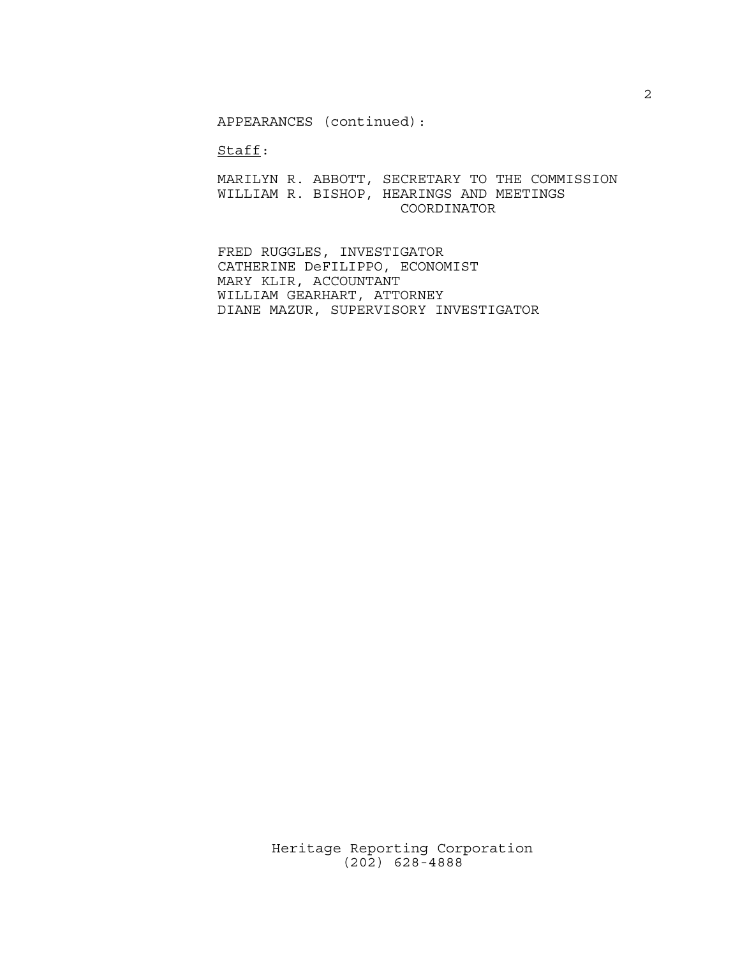APPEARANCES (continued):

Staff:

MARILYN R. ABBOTT, SECRETARY TO THE COMMISSION WILLIAM R. BISHOP, HEARINGS AND MEETINGS COORDINATOR

FRED RUGGLES, INVESTIGATOR CATHERINE DeFILIPPO, ECONOMIST MARY KLIR, ACCOUNTANT WILLIAM GEARHART, ATTORNEY DIANE MAZUR, SUPERVISORY INVESTIGATOR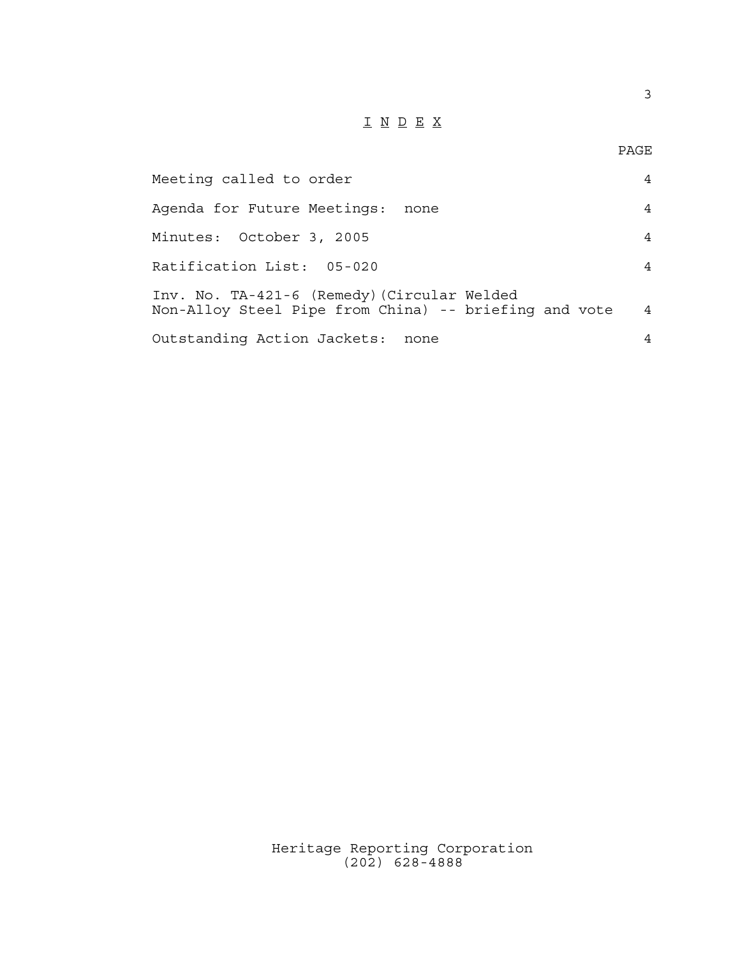## I N D E X

3

| Meeting called to order                                                                              | 4              |
|------------------------------------------------------------------------------------------------------|----------------|
| Agenda for Future Meetings:<br>none                                                                  | 4              |
| Minutes: October 3, 2005                                                                             | 4              |
| Ratification List: 05-020                                                                            | 4              |
| Inv. No. TA-421-6 (Remedy) (Circular Welded<br>Non-Alloy Steel Pipe from China) -- briefing and vote | $\overline{4}$ |
| Outstanding Action Jackets: none                                                                     | 4              |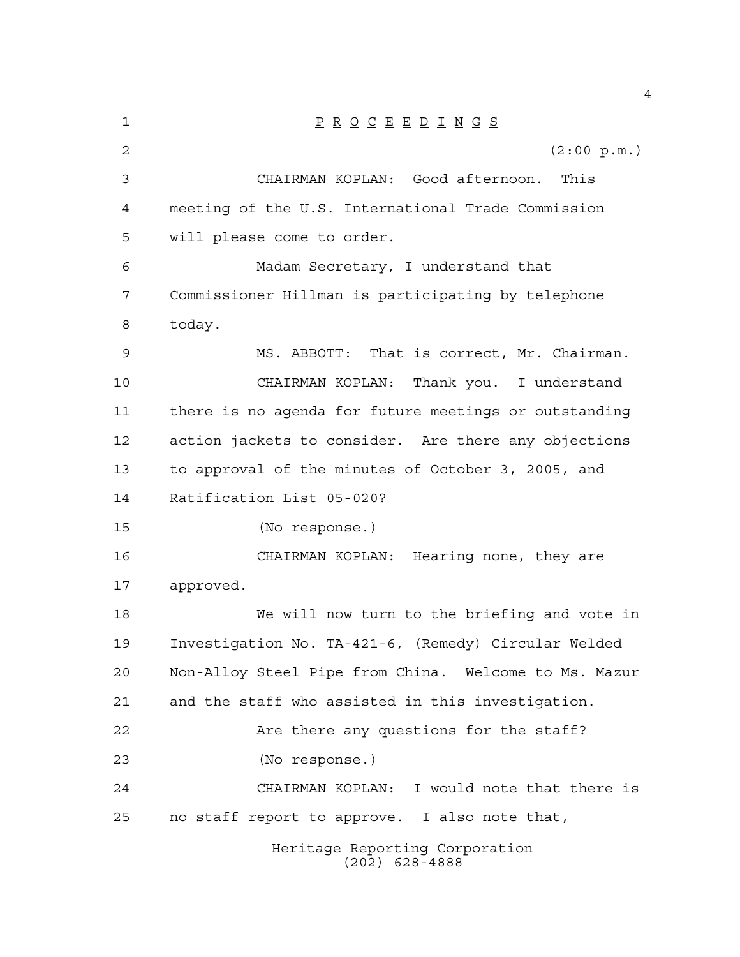| 1  | $\underline{P} \underline{R} \underline{O} \underline{C} \underline{E} \underline{E} \underline{D} \underline{I} \underline{N} \underline{G} \underline{S}$ |
|----|-------------------------------------------------------------------------------------------------------------------------------------------------------------|
| 2  | (2:00 p.m.)                                                                                                                                                 |
| 3  | CHAIRMAN KOPLAN: Good afternoon. This                                                                                                                       |
| 4  | meeting of the U.S. International Trade Commission                                                                                                          |
| 5  | will please come to order.                                                                                                                                  |
| 6  | Madam Secretary, I understand that                                                                                                                          |
| 7  | Commissioner Hillman is participating by telephone                                                                                                          |
| 8  | today.                                                                                                                                                      |
| 9  | MS. ABBOTT: That is correct, Mr. Chairman.                                                                                                                  |
| 10 | CHAIRMAN KOPLAN:<br>Thank you. I understand                                                                                                                 |
| 11 | there is no agenda for future meetings or outstanding                                                                                                       |
| 12 | action jackets to consider. Are there any objections                                                                                                        |
| 13 | to approval of the minutes of October 3, 2005, and                                                                                                          |
| 14 | Ratification List 05-020?                                                                                                                                   |
| 15 | (No response.)                                                                                                                                              |
| 16 | CHAIRMAN KOPLAN: Hearing none, they are                                                                                                                     |
| 17 | approved.                                                                                                                                                   |
| 18 | We will now turn to the briefing and vote in                                                                                                                |
| 19 | Investigation No. TA-421-6, (Remedy) Circular Welded                                                                                                        |
| 20 | Non-Alloy Steel Pipe from China. Welcome to Ms. Mazur                                                                                                       |
| 21 | and the staff who assisted in this investigation.                                                                                                           |
| 22 | Are there any questions for the staff?                                                                                                                      |
| 23 | (No response.)                                                                                                                                              |
| 24 | CHAIRMAN KOPLAN: I would note that there is                                                                                                                 |
| 25 | no staff report to approve. I also note that,                                                                                                               |
|    | Heritage Reporting Corporation<br>$(202)$ 628-4888                                                                                                          |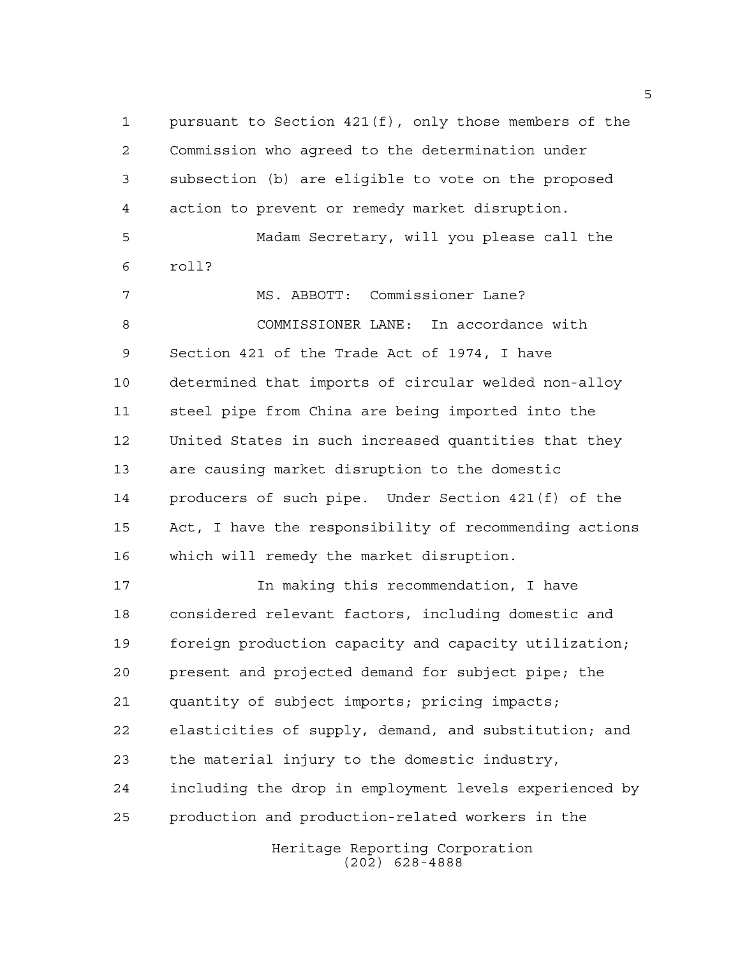pursuant to Section 421(f), only those members of the Commission who agreed to the determination under subsection (b) are eligible to vote on the proposed action to prevent or remedy market disruption. Madam Secretary, will you please call the roll? MS. ABBOTT: Commissioner Lane? COMMISSIONER LANE: In accordance with Section 421 of the Trade Act of 1974, I have determined that imports of circular welded non-alloy steel pipe from China are being imported into the United States in such increased quantities that they are causing market disruption to the domestic producers of such pipe. Under Section 421(f) of the Act, I have the responsibility of recommending actions which will remedy the market disruption. In making this recommendation, I have considered relevant factors, including domestic and foreign production capacity and capacity utilization; present and projected demand for subject pipe; the quantity of subject imports; pricing impacts; elasticities of supply, demand, and substitution; and the material injury to the domestic industry, including the drop in employment levels experienced by

production and production-related workers in the

Heritage Reporting Corporation (202) 628-4888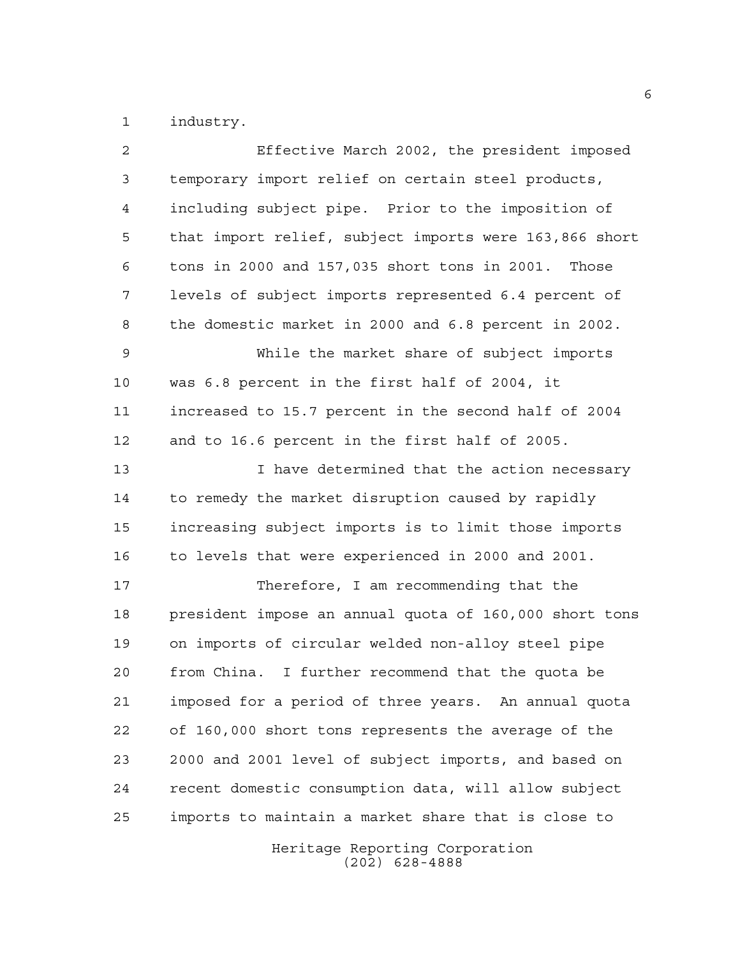industry.

| 2  | Effective March 2002, the president imposed            |
|----|--------------------------------------------------------|
| 3  | temporary import relief on certain steel products,     |
| 4  | including subject pipe. Prior to the imposition of     |
| 5  | that import relief, subject imports were 163,866 short |
| 6  | tons in 2000 and 157,035 short tons in 2001. Those     |
| 7  | levels of subject imports represented 6.4 percent of   |
| 8  | the domestic market in 2000 and 6.8 percent in 2002.   |
| 9  | While the market share of subject imports              |
| 10 | was 6.8 percent in the first half of 2004, it          |
| 11 | increased to 15.7 percent in the second half of 2004   |
| 12 | and to 16.6 percent in the first half of 2005.         |
| 13 | I have determined that the action necessary            |
| 14 | to remedy the market disruption caused by rapidly      |
| 15 | increasing subject imports is to limit those imports   |
| 16 | to levels that were experienced in 2000 and 2001.      |
| 17 | Therefore, I am recommending that the                  |
| 18 | president impose an annual quota of 160,000 short tons |
| 19 | on imports of circular welded non-alloy steel pipe     |
| 20 | from China. I further recommend that the quota be      |
| 21 | imposed for a period of three years. An annual quota   |
| 22 | of 160,000 short tons represents the average of the    |
| 23 | 2000 and 2001 level of subject imports, and based on   |
| 24 | recent domestic consumption data, will allow subject   |
| 25 | imports to maintain a market share that is close to    |
|    | Heritage Reporting Corporation<br>$(202)$ 628-4888     |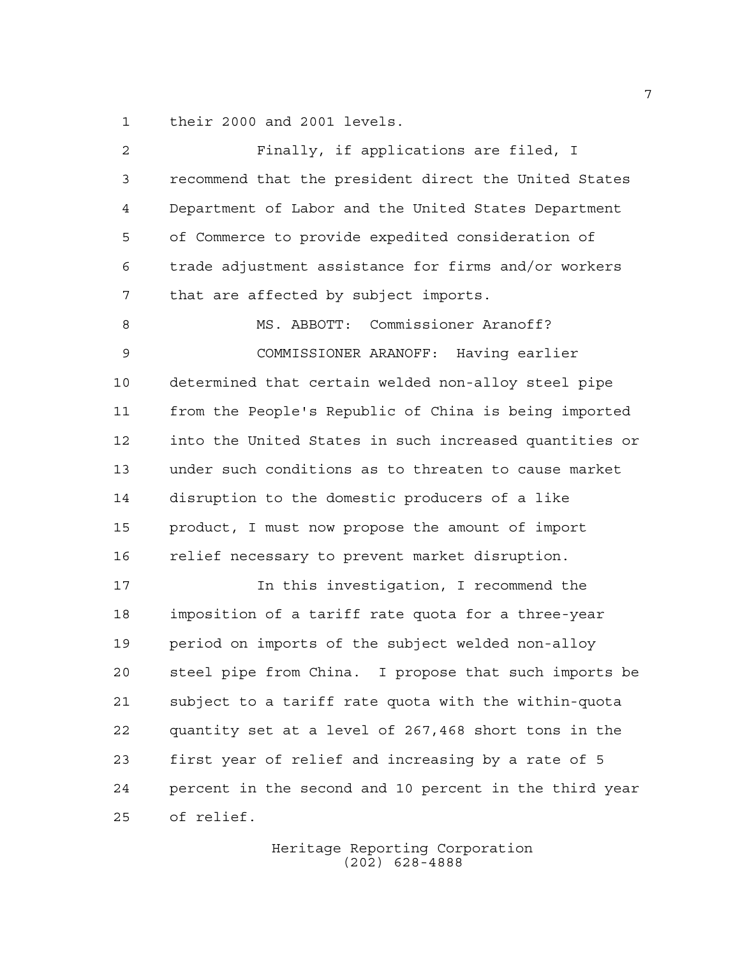their 2000 and 2001 levels.

| 2  | Finally, if applications are filed, I                  |
|----|--------------------------------------------------------|
| 3  | recommend that the president direct the United States  |
| 4  | Department of Labor and the United States Department   |
| 5  | of Commerce to provide expedited consideration of      |
| 6  | trade adjustment assistance for firms and/or workers   |
| 7  | that are affected by subject imports.                  |
| 8  | MS. ABBOTT: Commissioner Aranoff?                      |
| 9  | COMMISSIONER ARANOFF: Having earlier                   |
| 10 | determined that certain welded non-alloy steel pipe    |
| 11 | from the People's Republic of China is being imported  |
| 12 | into the United States in such increased quantities or |
| 13 | under such conditions as to threaten to cause market   |
| 14 | disruption to the domestic producers of a like         |
| 15 | product, I must now propose the amount of import       |
| 16 | relief necessary to prevent market disruption.         |
| 17 | In this investigation, I recommend the                 |
| 18 | imposition of a tariff rate quota for a three-year     |
| 19 | period on imports of the subject welded non-alloy      |
| 20 | steel pipe from China. I propose that such imports be  |
| 21 | subject to a tariff rate quota with the within-quota   |
| 22 | quantity set at a level of 267,468 short tons in the   |
| 23 | first year of relief and increasing by a rate of 5     |
| 24 | percent in the second and 10 percent in the third year |
| 25 | of relief.                                             |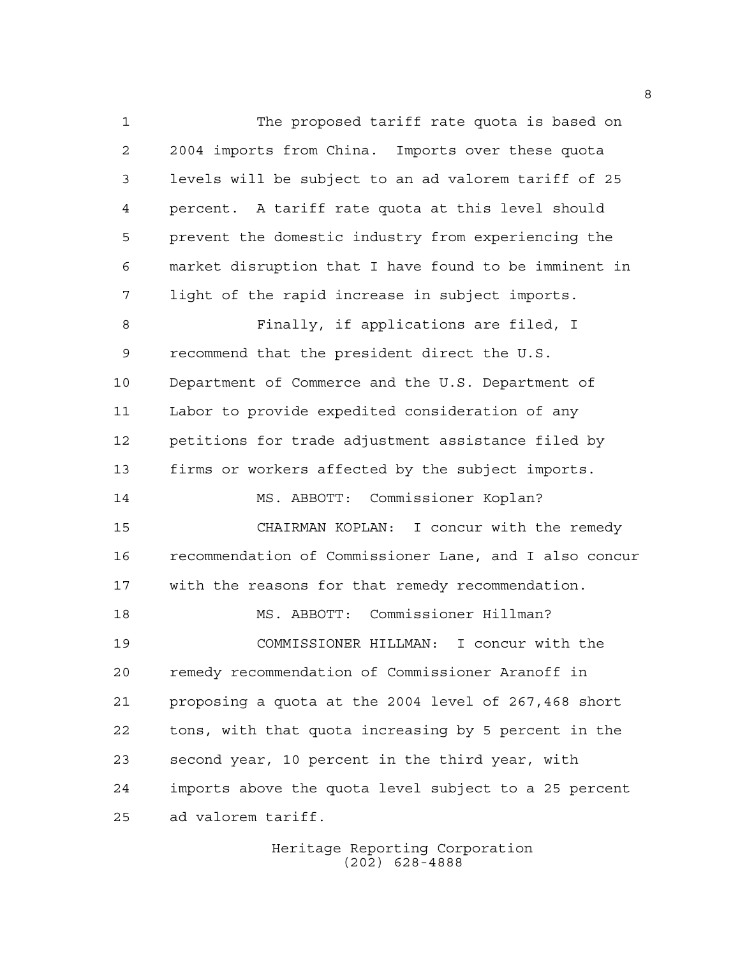The proposed tariff rate quota is based on 2004 imports from China. Imports over these quota levels will be subject to an ad valorem tariff of 25 percent. A tariff rate quota at this level should prevent the domestic industry from experiencing the market disruption that I have found to be imminent in light of the rapid increase in subject imports. Finally, if applications are filed, I recommend that the president direct the U.S. Department of Commerce and the U.S. Department of Labor to provide expedited consideration of any petitions for trade adjustment assistance filed by firms or workers affected by the subject imports. MS. ABBOTT: Commissioner Koplan? CHAIRMAN KOPLAN: I concur with the remedy recommendation of Commissioner Lane, and I also concur with the reasons for that remedy recommendation. MS. ABBOTT: Commissioner Hillman? COMMISSIONER HILLMAN: I concur with the remedy recommendation of Commissioner Aranoff in proposing a quota at the 2004 level of 267,468 short tons, with that quota increasing by 5 percent in the second year, 10 percent in the third year, with imports above the quota level subject to a 25 percent ad valorem tariff.

> Heritage Reporting Corporation (202) 628-4888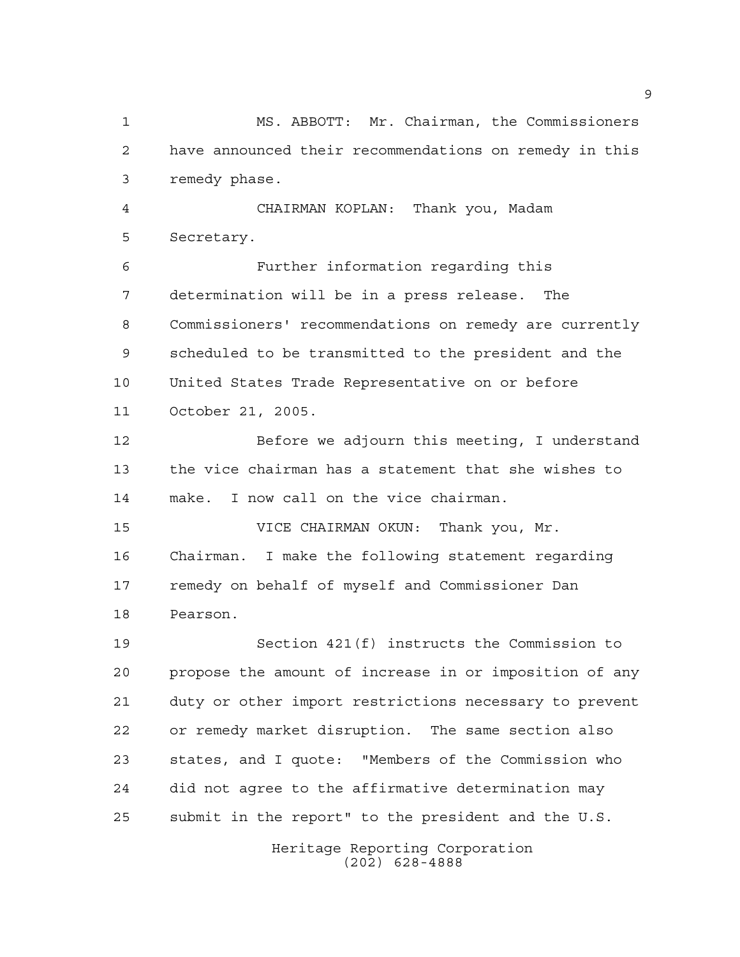MS. ABBOTT: Mr. Chairman, the Commissioners have announced their recommendations on remedy in this remedy phase.

 CHAIRMAN KOPLAN: Thank you, Madam Secretary.

 Further information regarding this determination will be in a press release. The Commissioners' recommendations on remedy are currently scheduled to be transmitted to the president and the United States Trade Representative on or before October 21, 2005.

 Before we adjourn this meeting, I understand the vice chairman has a statement that she wishes to make. I now call on the vice chairman.

 VICE CHAIRMAN OKUN: Thank you, Mr. Chairman. I make the following statement regarding remedy on behalf of myself and Commissioner Dan Pearson.

 Section 421(f) instructs the Commission to propose the amount of increase in or imposition of any duty or other import restrictions necessary to prevent or remedy market disruption. The same section also states, and I quote: "Members of the Commission who did not agree to the affirmative determination may submit in the report" to the president and the U.S.

> Heritage Reporting Corporation (202) 628-4888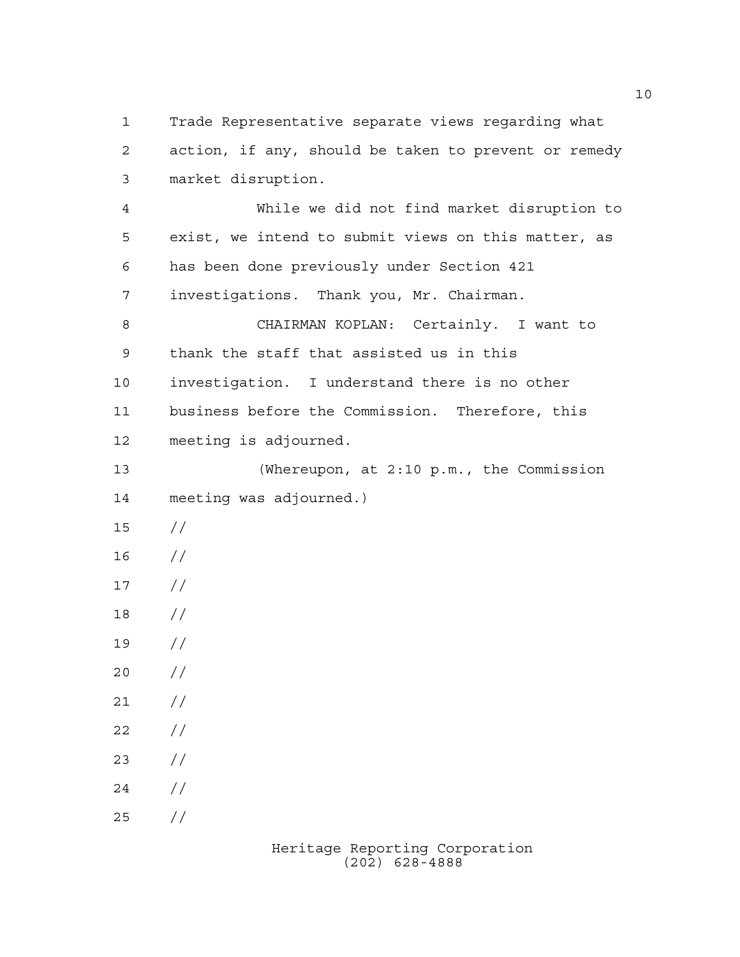Trade Representative separate views regarding what action, if any, should be taken to prevent or remedy market disruption. While we did not find market disruption to exist, we intend to submit views on this matter, as has been done previously under Section 421 investigations. Thank you, Mr. Chairman. CHAIRMAN KOPLAN: Certainly. I want to thank the staff that assisted us in this investigation. I understand there is no other business before the Commission. Therefore, this meeting is adjourned. (Whereupon, at 2:10 p.m., the Commission meeting was adjourned.) // //  $17 /$  // //  $20 /$  $21 /$  $22 / /$  $23 / /$  $24 /$ //